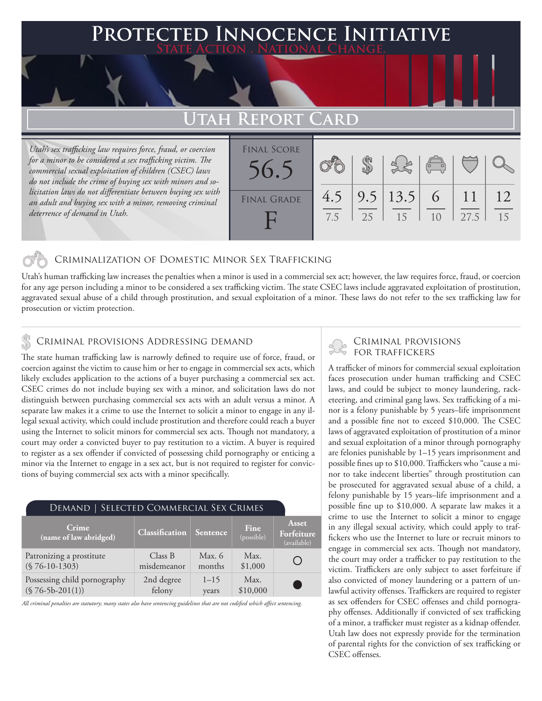### **PTED INNOCENCE INITIATIVE State Action . National Change.**

## **Utah Report Card**

*Utah's sex trafficking law requires force, fraud, or coercion for a minor to be considered a sex trafficking victim. The commercial sexual exploitation of children (CSEC) laws do not include the crime of buying sex with minors and solicitation laws do not differentiate between buying sex with an adult and buying sex with a minor, removing criminal deterrence of demand in Utah.*

| <b>FINAL SCORE</b><br>56.5 |            |    | 3860                 |   |      |          |
|----------------------------|------------|----|----------------------|---|------|----------|
| <b>FINAL GRADE</b>         | 4.5<br>7.5 | 25 | $9.5$   13.5  <br>15 | 6 | 27.5 | 12<br>15 |
|                            |            |    |                      |   |      |          |

### Criminalization of Domestic Minor Sex Trafficking

Utah's human trafficking law increases the penalties when a minor is used in a commercial sex act; however, the law requires force, fraud, or coercion for any age person including a minor to be considered a sex trafficking victim. The state CSEC laws include aggravated exploitation of prostitution, aggravated sexual abuse of a child through prostitution, and sexual exploitation of a minor. These laws do not refer to the sex trafficking law for prosecution or victim protection.

## CRIMINAL PROVISIONS ADDRESSING DEMAND<br>FOR TRAFFICKERS

The state human trafficking law is narrowly defined to require use of force, fraud, or coercion against the victim to cause him or her to engage in commercial sex acts, which likely excludes application to the actions of a buyer purchasing a commercial sex act. CSEC crimes do not include buying sex with a minor, and solicitation laws do not distinguish between purchasing commercial sex acts with an adult versus a minor. A separate law makes it a crime to use the Internet to solicit a minor to engage in any illegal sexual activity, which could include prostitution and therefore could reach a buyer using the Internet to solicit minors for commercial sex acts. Though not mandatory, a court may order a convicted buyer to pay restitution to a victim. A buyer is required to register as a sex offender if convicted of possessing child pornography or enticing a minor via the Internet to engage in a sex act, but is not required to register for convictions of buying commercial sex acts with a minor specifically.

| DEMAND   SELECTED COMMERCIAL SEX CRIMES |                       |          |                    |                                    |  |  |  |  |
|-----------------------------------------|-----------------------|----------|--------------------|------------------------------------|--|--|--|--|
| Crime<br>(name of law abridged)         | <b>Classification</b> | Sentence | Fine<br>(possible) | Asset<br>Forfeiture<br>(available) |  |  |  |  |
| Patronizing a prostitute                | Class B               | Max. $6$ | Max.               |                                    |  |  |  |  |
| $(S 76-10-1303)$                        | misdemeanor           | months   | \$1,000            |                                    |  |  |  |  |
| Possessing child pornography            | 2nd degree            | $1 - 15$ | Max.               | <b>Service Service</b>             |  |  |  |  |
| $($76-5b-201(1))$                       | felony                | years    | \$10,000           |                                    |  |  |  |  |

*All criminal penalties are statutory; many states also have sentencing guidelines that are not codified which affect sentencing.* 

# Criminal provisions

A trafficker of minors for commercial sexual exploitation faces prosecution under human trafficking and CSEC laws, and could be subject to money laundering, racketeering, and criminal gang laws. Sex trafficking of a minor is a felony punishable by 5 years–life imprisonment and a possible fine not to exceed \$10,000. The CSEC laws of aggravated exploitation of prostitution of a minor and sexual exploitation of a minor through pornography are felonies punishable by 1–15 years imprisonment and possible fines up to \$10,000. Traffickers who "cause a minor to take indecent liberties" through prostitution can be prosecuted for aggravated sexual abuse of a child, a felony punishable by 15 years–life imprisonment and a possible fine up to \$10,000. A separate law makes it a crime to use the Internet to solicit a minor to engage in any illegal sexual activity, which could apply to traffickers who use the Internet to lure or recruit minors to engage in commercial sex acts. Though not mandatory, the court may order a trafficker to pay restitution to the victim. Traffickers are only subject to asset forfeiture if also convicted of money laundering or a pattern of unlawful activity offenses. Traffickers are required to register as sex offenders for CSEC offenses and child pornography offenses. Additionally if convicted of sex trafficking of a minor, a trafficker must register as a kidnap offender. Utah law does not expressly provide for the termination of parental rights for the conviction of sex trafficking or CSEC offenses.